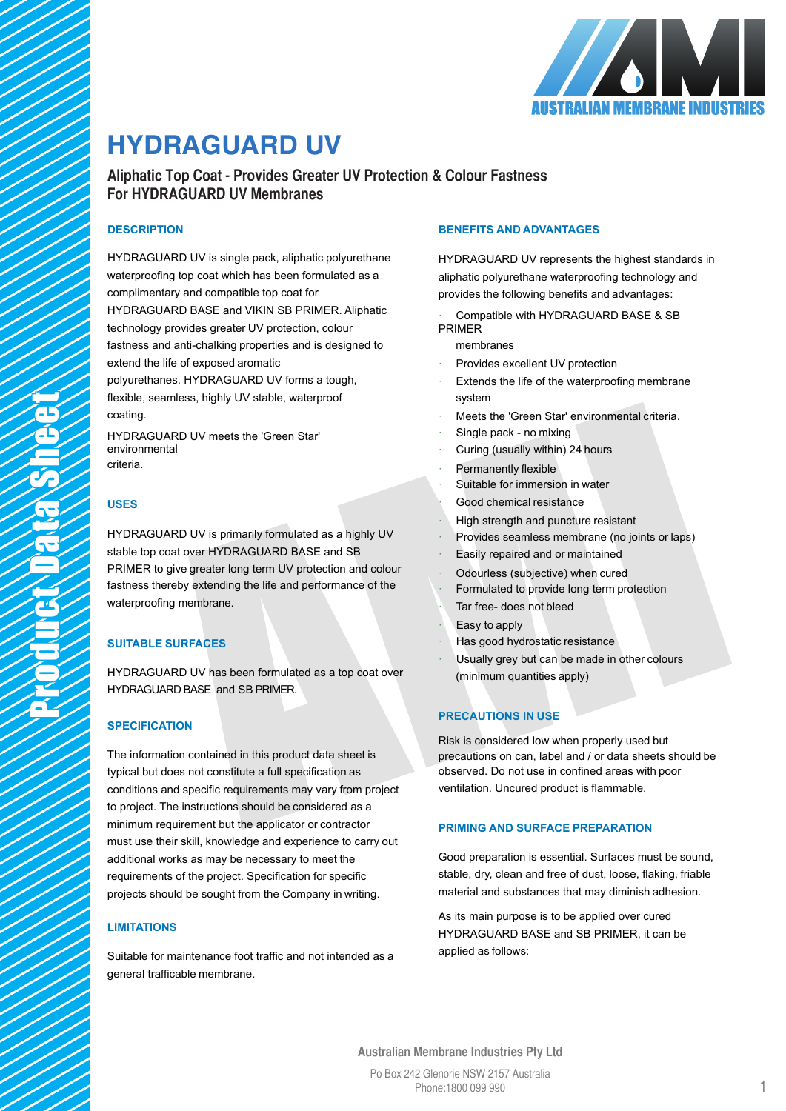

# **HYDRAGUARD UV HYDRAGUARD UV**

**Aliphatic Top Coat - Provides Greater UV Protection & Colour Fastness Aliphatic Top Coat - Provides Greater UV Protection & Colour Fastness For HYDRAGUARD UV Membranes For HYDRAGUARD UV Membranes**

# **DESCRIPTION**

HYDRAGUARD UV is single pack, aliphatic polyurethane waterproofing top coat which has been formulated as a complimentary and compatible top coat for HYDRAGUARD BASE and VIKIN SB PRIMER. Aliphatic technology provides greater UV protection, colour fastness and anti-chalking properties and is designed to extend the life of exposed aromatic polyurethanes. HYDRAGUARD UV forms a tough,

flexible, seamless, highly UV stable, waterproof coating.

HYDRAGUARD UV meets the 'Green Star' environmental criteria.

# **USES**

HYDRAGUARD UV is primarily formulated as a highly UV stable top coat over HYDRAGUARD BASE and SB PRIMER to give greater long term UV protection and colour fastness thereby extending the life and performance of the waterproofing membrane.

# **SUITABLE SURFACES**

HYDRAGUARD UV has been formulated as a top coat over HYDRAGUARD BASE and SB PRIMER.

# **SPECIFICATION**

The information contained in this product data sheet is typical but does not constitute a full specification as conditions and specific requirements may vary from project to project. The instructions should be considered as a minimum requirement but the applicator or contractor must use their skill, knowledge and experience to carry out additional works as may be necessary to meet the requirements of the project. Specification for specific projects should be sought from the Company in writing.

# **LIMITATIONS**

Suitable for maintenance foot traffic and not intended as a general trafficable membrane.

## **BENEFITS AND ADVANTAGES**

HYDRAGUARD UV represents the highest standards in aliphatic polyurethane waterproofing technology and provides the following benefits and advantages:

- Compatible with HYDRAGUARD BASE & SB PRIMER
	- membranes
- Provides excellent UV protection
- Extends the life of the waterproofing membrane system
- Meets the 'Green Star' environmental criteria.
- Single pack no mixing
- Curing (usually within) 24 hours
- Permanently flexible
- Suitable for immersion in water
- Good chemical resistance
- High strength and puncture resistant
- Provides seamless membrane (no joints or laps)
- Easily repaired and or maintained
- Odourless (subjective) when cured
- Formulated to provide long term protection Tar free- does not bleed
- · Easy to apply
- · Has good hydrostatic resistance
- Usually grey but can be made in other colours (minimum quantities apply)

# **PRECAUTIONS IN USE**

Risk is considered low when properly used but precautions on can, label and / or data sheets should be observed. Do not use in confined areas with poor ventilation. Uncured product is flammable.

## **PRIMING AND SURFACE PREPARATION**

Good preparation is essential. Surfaces must be sound, stable, dry, clean and free of dust, loose, flaking, friable material and substances that may diminish adhesion.

As its main purpose is to be applied over cured HYDRAGUARD BASE and SB PRIMER, it can be applied as follows:

**Australian Membrane Industries Pty Ltd**

Po Box 242 Glenorie NSW 2157 Australia *VIKIN Systems Australia, your complete solution for ECO progressive waterproofing technologies* Phone:1800 099 990

1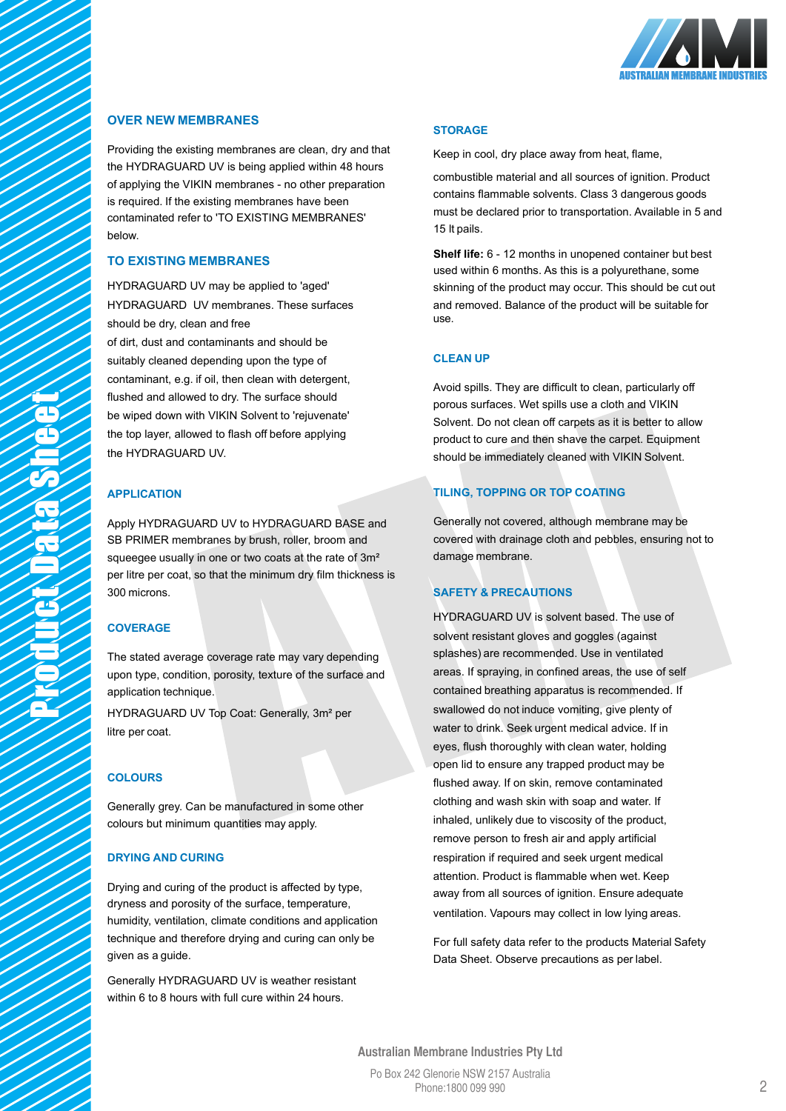

## **OVER NEW MEMBRANES**

Providing the existing membranes are clean, dry and that the HYDRAGUARD UV is being applied within 48 hours of applying the VIKIN membranes - no other preparation is required. If the existing membranes have been contaminated refer to 'TO EXISTING MEMBRANES' below.

## **TO EXISTING MEMBRANES**

HYDRAGUARD UV may be applied to 'aged' HYDRAGUARD UV membranes. These surfaces should be dry, clean and free

of dirt, dust and contaminants and should be suitably cleaned depending upon the type of contaminant, e.g. if oil, then clean with detergent, flushed and allowed to dry. The surface should be wiped down with VIKIN Solvent to 'rejuvenate' the top layer, allowed to flash off before applying the HYDRAGUARD UV.

#### **APPLICATION**

Apply HYDRAGUARD UV to HYDRAGUARD BASE and SB PRIMER membranes by brush, roller, broom and squeegee usually in one or two coats at the rate of 3m<sup>2</sup> per litre per coat, so that the minimum dry film thickness is 300 microns.

#### **COVERAGE**

The stated average coverage rate may vary depending upon type, condition, porosity, texture of the surface and application technique.

HYDRAGUARD UV Top Coat: Generally, 3m² per litre per coat.

### **COLOURS**

Generally grey. Can be manufactured in some other colours but minimum quantities may apply.

#### **DRYING AND CURING**

Drying and curing of the product is affected by type, dryness and porosity of the surface, temperature, humidity, ventilation, climate conditions and application technique and therefore drying and curing can only be given as a guide.

Generally HYDRAGUARD UV is weather resistant within 6 to 8 hours with full cure within 24 hours.

#### **STORAGE**

Keep in cool, dry place away from heat, flame,

combustible material and all sources of ignition. Product contains flammable solvents. Class 3 dangerous goods must be declared prior to transportation. Available in 5 and 15 lt pails.

**Shelf life:** 6 - 12 months in unopened container but best used within 6 months. As this is a polyurethane, some skinning of the product may occur. This should be cut out and removed. Balance of the product will be suitable for use.

#### **CLEAN UP**

Avoid spills. They are difficult to clean, particularly off porous surfaces. Wet spills use a cloth and VIKIN Solvent. Do not clean off carpets as it is better to allow product to cure and then shave the carpet. Equipment should be immediately cleaned with VIKIN Solvent.

#### **TILING, TOPPING OR TOP COATING**

Generally not covered, although membrane may be covered with drainage cloth and pebbles, ensuring not to damage membrane.

#### **SAFETY & PRECAUTIONS**

HYDRAGUARD UV is solvent based. The use of solvent resistant gloves and goggles (against splashes) are recommended. Use in ventilated areas. If spraying, in confined areas, the use of self contained breathing apparatus is recommended. If swallowed do not induce vomiting, give plenty of water to drink. Seek urgent medical advice. If in eyes, flush thoroughly with clean water, holding open lid to ensure any trapped product may be flushed away. If on skin, remove contaminated clothing and wash skin with soap and water. If inhaled, unlikely due to viscosity of the product, remove person to fresh air and apply artificial respiration if required and seek urgent medical attention. Product is flammable when wet. Keep away from all sources of ignition. Ensure adequate ventilation. Vapours may collect in low lying areas.

For full safety data refer to the products Material Safety Data Sheet. Observe precautions as per label.